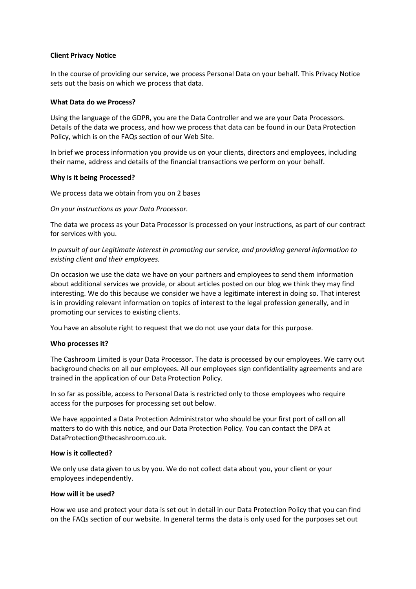## **Client Privacy Notice**

In the course of providing our service, we process Personal Data on your behalf. This Privacy Notice sets out the basis on which we process that data.

### **What Data do we Process?**

Using the language of the GDPR, you are the Data Controller and we are your Data Processors. Details of the data we process, and how we process that data can be found in our Data Protection Policy, which is on the FAQs section of our Web Site.

In brief we process information you provide us on your clients, directors and employees, including their name, address and details of the financial transactions we perform on your behalf.

### **Why is it being Processed?**

We process data we obtain from you on 2 bases

### *On your instructions as your Data Processor.*

The data we process as your Data Processor is processed on your instructions, as part of our contract for services with you.

*In pursuit of our Legitimate Interest in promoting our service, and providing general information to existing client and their employees.*

On occasion we use the data we have on your partners and employees to send them information about additional services we provide, or about articles posted on our blog we think they may find interesting. We do this because we consider we have a legitimate interest in doing so. That interest is in providing relevant information on topics of interest to the legal profession generally, and in promoting our services to existing clients.

You have an absolute right to request that we do not use your data for this purpose.

## **Who processes it?**

The Cashroom Limited is your Data Processor. The data is processed by our employees. We carry out background checks on all our employees. All our employees sign confidentiality agreements and are trained in the application of our Data Protection Policy.

In so far as possible, access to Personal Data is restricted only to those employees who require access for the purposes for processing set out below.

We have appointed a Data Protection Administrator who should be your first port of call on all matters to do with this notice, and our Data Protection Policy. You can contact the DPA at DataProtection@thecashroom.co.uk.

## **How is it collected?**

We only use data given to us by you. We do not collect data about you, your client or your employees independently.

# **How will it be used?**

How we use and protect your data is set out in detail in our Data Protection Policy that you can find on the FAQs section of our website. In general terms the data is only used for the purposes set out